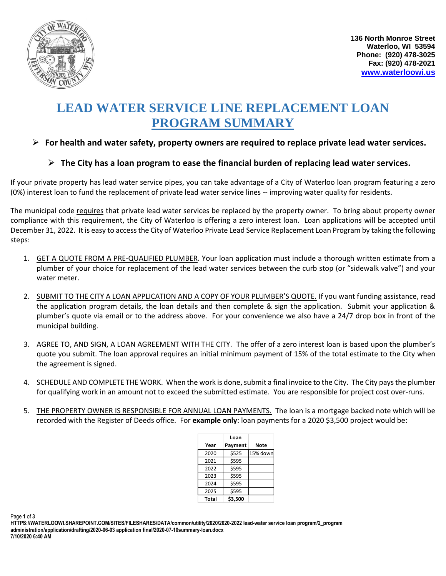

# **LEAD WATER SERVICE LINE REPLACEMENT LOAN PROGRAM SUMMARY**

## ➢ **For health and water safety, property owners are required to replace private lead water services.**

## ➢ **The City has a loan program to ease the financial burden of replacing lead water services.**

If your private property has lead water service pipes, you can take advantage of a City of Waterloo loan program featuring a zero (0%) interest loan to fund the replacement of private lead water service lines -- improving water quality for residents.

The municipal code requires that private lead water services be replaced by the property owner. To bring about property owner compliance with this requirement, the City of Waterloo is offering a zero interest loan. Loan applications will be accepted until December 31, 2022. It is easy to access the City of Waterloo Private Lead Service Replacement Loan Program by taking the following steps:

- 1. GET A QUOTE FROM A PRE-QUALIFIED PLUMBER. Your loan application must include a thorough written estimate from a plumber of your choice for replacement of the lead water services between the curb stop (or "sidewalk valve") and your water meter.
- 2. SUBMIT TO THE CITY A LOAN APPLICATION AND A COPY OF YOUR PLUMBER'S QUOTE. If you want funding assistance, read the application program details, the loan details and then complete & sign the application. Submit your application & plumber's quote via email or to the address above. For your convenience we also have a 24/7 drop box in front of the municipal building.
- 3. AGREE TO, AND SIGN, A LOAN AGREEMENT WITH THE CITY. The offer of a zero interest loan is based upon the plumber's quote you submit. The loan approval requires an initial minimum payment of 15% of the total estimate to the City when the agreement is signed.
- 4. SCHEDULE AND COMPLETE THE WORK. When the work is done, submit a final invoice to the City. The City pays the plumber for qualifying work in an amount not to exceed the submitted estimate. You are responsible for project cost over-runs.
- 5. THE PROPERTY OWNER IS RESPONSIBLE FOR ANNUAL LOAN PAYMENTS. The loan is a mortgage backed note which will be recorded with the Register of Deeds office. For **example only**: loan payments for a 2020 \$3,500 project would be:

|       | Loan    |          |
|-------|---------|----------|
| Year  | Payment | Note     |
| 2020  | \$525   | 15% down |
| 2021  | \$595   |          |
| 2022  | \$595   |          |
| 2023  | \$595   |          |
| 2024  | \$595   |          |
| 2025  | \$595   |          |
| Total | \$3,500 |          |

Page **1** of **3**

**HTTPS://WATERLOOWI.SHAREPOINT.COM/SITES/FILESHARES/DATA/common/utility/2020/2020-2022 lead-water service loan program/2\_program administration/application/drafting/2020-06-03 application final/2020-07-10summary-loan.docx 7/10/2020 6:40 AM**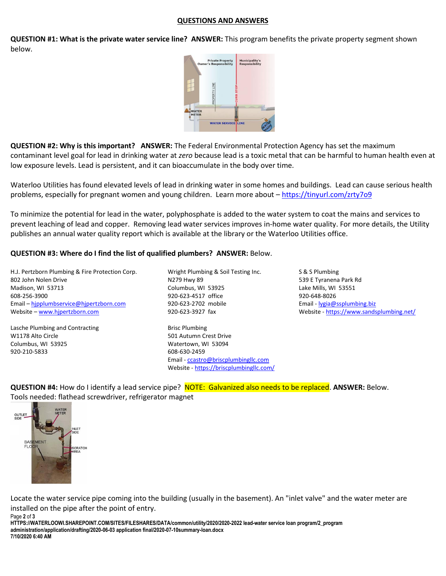#### **QUESTIONS AND ANSWERS**

**QUESTION #1: What is the private water service line? ANSWER:** This program benefits the private property segment shown below.



**QUESTION #2: Why is this important? ANSWER:** The Federal Environmental Protection Agency has set the maximum contaminant level goal for lead in drinking water at *zero* because lead is a toxic metal that can be harmful to human health even at low exposure levels. Lead is persistent, and it can bioaccumulate in the body over time.

Waterloo Utilities has found elevated levels of lead in drinking water in some homes and buildings. Lead can cause serious health problems, especially for pregnant women and young children. Learn more about - [https://tinyurl.com/zrty7o9](https://www.epa.gov/ground-water-and-drinking-water/basic-information-about-lead-drinking-water)

To minimize the potential for lead in the water, polyphosphate is added to the water system to coat the mains and services to prevent leaching of lead and copper. Removing lead water services improves in-home water quality. For more details, the Utility publishes an annual water quality report which is available at the library or the Waterloo Utilities office.

#### **QUESTION #3: Where do I find the list of qualified plumbers? ANSWER:** Below.

H.J. Pertzborn Plumbing & Fire Protection Corp. Wright Plumbing & Soil Testing Inc. S & S Plumbing 802 John Nolen Drive N279 Hwy 89 539 E Tyranena Park Rd Madison, WI 53713 Columbus, WI 53925 Lake Mills, WI 53551 608-256-3900 920-623-4517 office 920-648-8026 Email – [hjpplumbservice@hjpertzborn.com](mailto:hjpplumbservice@hjpertzborn.com) 920-623-2702 mobile Email - [lygia@ssplumbing.biz](mailto:lygia@ssplumbing.biz) Website – [www.hjpertzborn.com](http://www.hjpertzborn.com/) **920-623-3927** fax Website - <https://www.sandsplumbing.net/>

Lasche Plumbing and Contracting **Brisc Plumbing** Brisc Plumbing W1178 Alto Circle 601 Autumn Crest Drive Columbus, WI 53925 Watertown, WI 53094 920-210-5833 608-630-2459

Email - [ccastro@briscplumbingllc.com](mailto:ccastro@briscplumbingllc.com) Website - <https://briscplumbingllc.com/>

**QUESTION #4:** How do I identify a lead service pipe? NOTE: Galvanized also needs to be replaced. **ANSWER:** Below. Tools needed: flathead screwdriver, refrigerator magnet



Page **2** of **3**

Locate the water service pipe coming into the building (usually in the basement). An "inlet valve" and the water meter are installed on the pipe after the point of entry.

**HTTPS://WATERLOOWI.SHAREPOINT.COM/SITES/FILESHARES/DATA/common/utility/2020/2020-2022 lead-water service loan program/2\_program administration/application/drafting/2020-06-03 application final/2020-07-10summary-loan.docx 7/10/2020 6:40 AM**